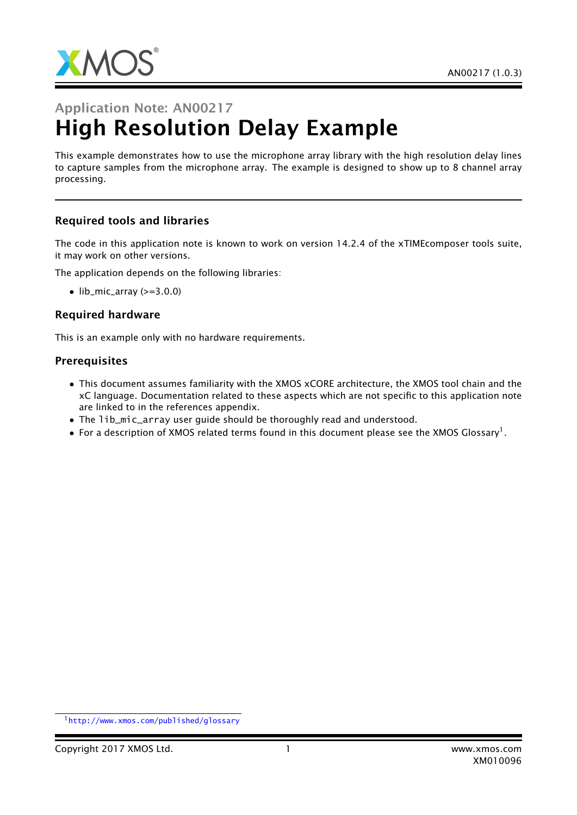

# Application Note: AN00217 High Resolution Delay Example

This example demonstrates how to use the microphone array library with the high resolution delay lines to capture samples from the microphone array. The example is designed to show up to 8 channel array processing.

### Required tools and libraries

The code in this application note is known to work on version 14.2.4 of the xTIMEcomposer tools suite, it may work on other versions.

The application depends on the following libraries:

 $\bullet$  lib\_mic\_array ( $>=$ 3.0.0)

#### Required hardware

This is an example only with no hardware requirements.

#### **Prerequisites**

- This document assumes familiarity with the XMOS xCORE architecture, the XMOS tool chain and the xC language. Documentation related to these aspects which are not specific to this application note are linked to in the references appendix.
- The lib\_mic\_array user guide should be thoroughly read and understood.
- $\bullet$  For a description of XMOS related terms found in this document please see the XMOS Glossary<sup>1</sup>.

<sup>1</sup><http://www.xmos.com/published/glossary>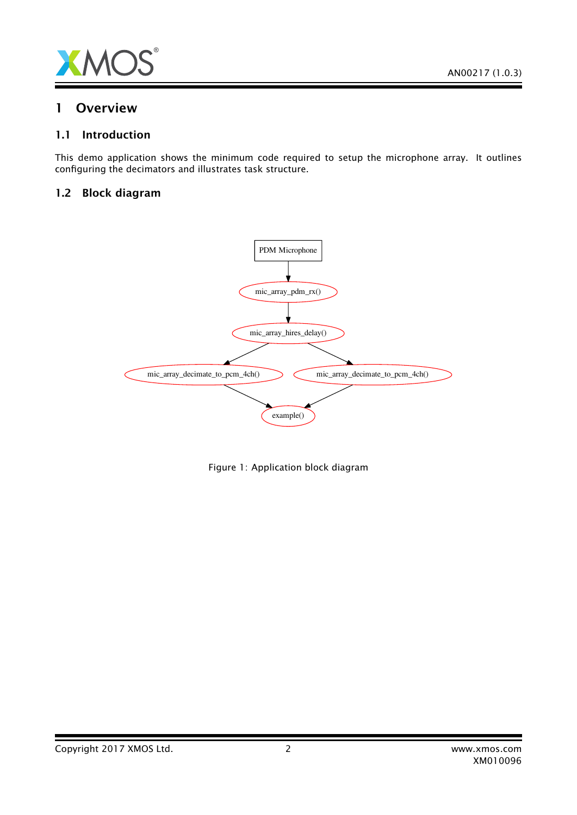

### 1 Overview

### 1.1 Introduction

This demo application shows the minimum code required to setup the microphone array. It outlines configuring the decimators and illustrates task structure.

### 1.2 Block diagram



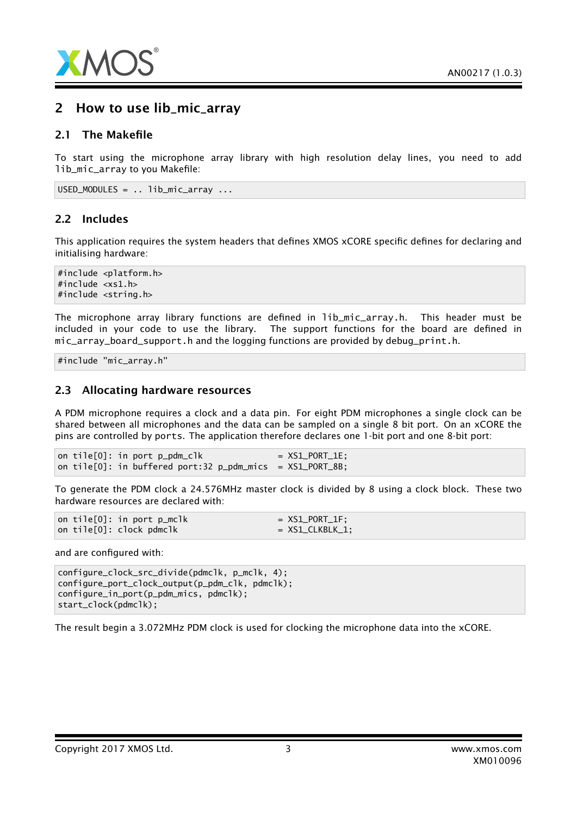

### 2 How to use lib\_mic\_array

### 2.1 The Makefile

To start using the microphone array library with high resolution delay lines, you need to add lib\_mic\_array to you Makefile:

USED\_MODULES = .. lib\_mic\_array ...

### 2.2 Includes

This application requires the system headers that defines XMOS xCORE specific defines for declaring and initialising hardware:

#include <platform.h> #include <xs1.h> #include <string.h>

The microphone array library functions are defined in lib\_mic\_array.h. This header must be included in your code to use the library. The support functions for the board are defined in mic\_array\_board\_support.h and the logging functions are provided by debug\_print.h.

#include "mic\_array.h"

#### 2.3 Allocating hardware resources

A PDM microphone requires a clock and a data pin. For eight PDM microphones a single clock can be shared between all microphones and the data can be sampled on a single 8 bit port. On an xCORE the pins are controlled by ports. The application therefore declares one 1-bit port and one 8-bit port:

on tile $[0]$ : in port  $p\_pdm\_c$ lk =  $XSL\_PORT\_1E$ ; on tile $[0]$ : in buffered port:32 p\_pdm\_mics =  $XSL_PORT_8B$ ;

To generate the PDM clock a 24.576MHz master clock is divided by 8 using a clock block. These two hardware resources are declared with:

on tile $[0]$ : in port p\_mclk = XS1\_PORT\_1F; on tile $[0]$ : clock pdmclk = XS1\_CLKBLK\_1;

and are configured with:

configure\_clock\_src\_divide(pdmclk, p\_mclk, 4); configure\_port\_clock\_output(p\_pdm\_clk, pdmclk); configure\_in\_port(p\_pdm\_mics, pdmclk); start\_clock(pdmclk);

The result begin a 3.072MHz PDM clock is used for clocking the microphone data into the xCORE.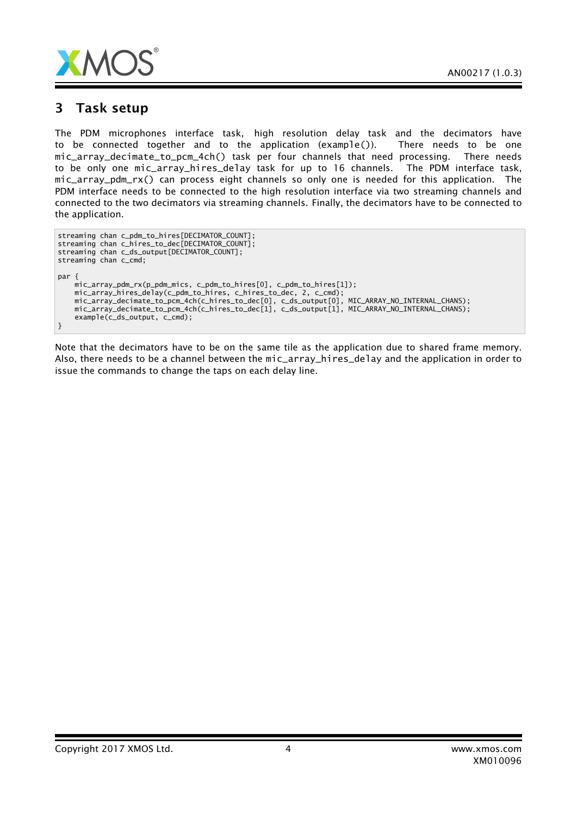

### 3 Task setup

The PDM microphones interface task, high resolution delay task and the decimators have to be connected together and to the application (example()). There needs to be one mic\_array\_decimate\_to\_pcm\_4ch() task per four channels that need processing. There needs to be only one mic\_array\_hires\_delay task for up to 16 channels. The PDM interface task, mic\_array\_pdm\_rx() can process eight channels so only one is needed for this application. The PDM interface needs to be connected to the high resolution interface via two streaming channels and connected to the two decimators via streaming channels. Finally, the decimators have to be connected to the application.

```
streaming chan c_pdm_to_hires[DECIMATOR_COUNT];
streaming chan c_hires_to_dec[DECIMATOR_COUNT];
streaming chan c_ds_output[DECIMATOR_COUNT];
streaming chan c_cmd;
par {
    mic_array_pdm_rx(p_pdm_mics, c_pdm_to_hires[0], c_pdm_to_hires[1]);
    mic_array_hires_delay(c_pdm_to_hires, c_hires_to_dec, 2, c_cmd);
    mic_array_decimate_to_pcm_4ch(c_hires_to_dec[0], c_ds_output[0], MIC_ARRAY_NO_INTERNAL_CHANS);
    mic_array_decimate_to_pcm_4ch(c_hires_to_dec[1], c_ds_output[1], MIC_ARRAY_NO_INTERNAL_CHANS);
    example(c_ds_output, c_cmd);
}
```
Note that the decimators have to be on the same tile as the application due to shared frame memory. Also, there needs to be a channel between the mic\_array\_hires\_delay and the application in order to issue the commands to change the taps on each delay line.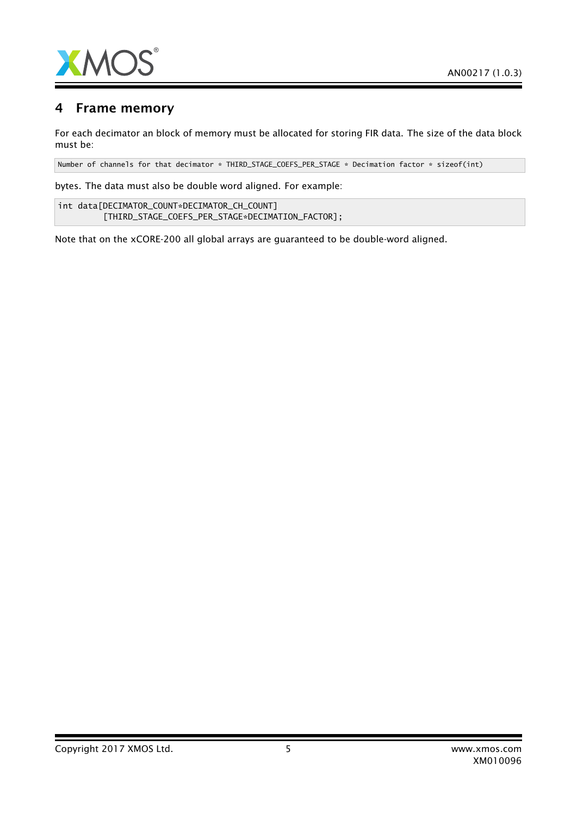

## 4 Frame memory

For each decimator an block of memory must be allocated for storing FIR data. The size of the data block must be:

Number of channels for that decimator \* THIRD\_STAGE\_COEFS\_PER\_STAGE \* Decimation factor \* sizeof(int)

bytes. The data must also be double word aligned. For example:

int data[DECIMATOR\_COUNT\*DECIMATOR\_CH\_COUNT] [THIRD\_STAGE\_COEFS\_PER\_STAGE\*DECIMATION\_FACTOR];

Note that on the xCORE-200 all global arrays are guaranteed to be double-word aligned.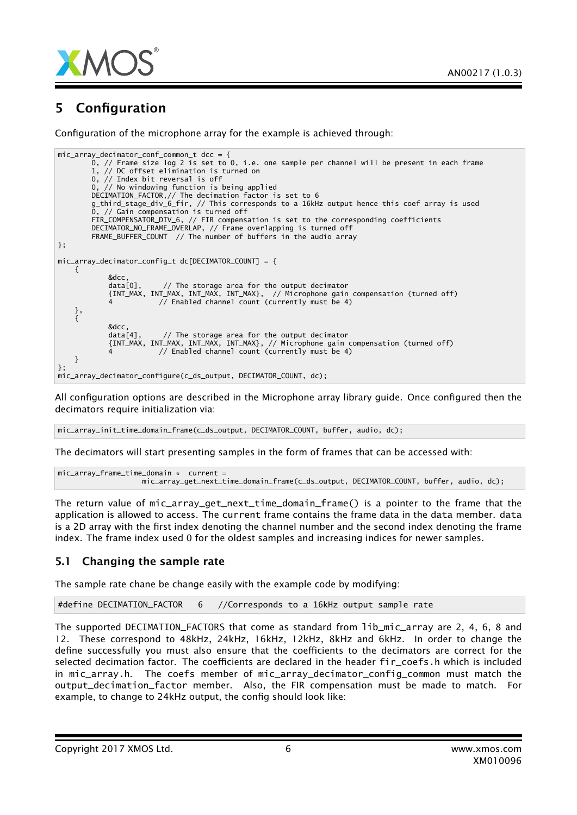

# 5 Configuration

Configuration of the microphone array for the example is achieved through:

```
mic_array_decimator_conf_common_t dcc = {
        0, // Frame size log 2 is set to 0, i.e. one sample per channel will be present in each frame
        1, // DC offset elimination is turned on
       0, // Index bit reversal is off
        0, // No windowing function is being applied
        DECIMATION_FACTOR,// The decimation factor is set to 6
       g_third_stage_div_6_fir, // This corresponds to a 16kHz output hence this coef array is used
        0, // Gain compensation is turned off
        FIR_COMPENSATOR_DIV_6, // FIR compensation is set to the corresponding coefficients
        DECIMATOR_NO_FRAME_OVERLAP, // Frame overlapping is turned off
        FRAME_BUFFER_COUNT // The number of buffers in the audio array
};
mic array decimator config t dc[DECIMATOR COUNT] = {
    {
            &dcc,<br>data[0],
                         1/ The storage area for the output decimator
            {INT_MAX, INT_MAX, INT_MAX, INT_MAX}, // Microphone gain compensation (turned off)
            4 // Enabled channel count (currently must be 4)
    },
    {
            &dcc,
            data[4], // The storage area for the output decimator
            {INT_MAX, INT_MAX, INT_MAX, INT_MAX}, // Microphone gain compensation (turned off)
            4 // Enabled channel count (currently must be 4)
   }
};
mic_array_decimator_configure(c_ds_output, DECIMATOR_COUNT, dc);
```
All configuration options are described in the Microphone array library guide. Once configured then the decimators require initialization via:

mic\_array\_init\_time\_domain\_frame(c\_ds\_output, DECIMATOR\_COUNT, buffer, audio, dc);

The decimators will start presenting samples in the form of frames that can be accessed with:

```
mic_array_frame_time_domain * current =
                   mic_array_get_next_time_domain_frame(c_ds_output, DECIMATOR_COUNT, buffer, audio, dc);
```
The return value of mic\_array\_get\_next\_time\_domain\_frame() is a pointer to the frame that the application is allowed to access. The current frame contains the frame data in the data member. data is a 2D array with the first index denoting the channel number and the second index denoting the frame index. The frame index used 0 for the oldest samples and increasing indices for newer samples.

### 5.1 Changing the sample rate

The sample rate chane be change easily with the example code by modifying:

#define DECIMATION\_FACTOR 6 //Corresponds to a 16kHz output sample rate

The supported DECIMATION\_FACTORS that come as standard from lib\_mic\_array are 2, 4, 6, 8 and 12. These correspond to 48kHz, 24kHz, 16kHz, 12kHz, 8kHz and 6kHz. In order to change the define successfully you must also ensure that the coefficients to the decimators are correct for the selected decimation factor. The coefficients are declared in the header fir\_coefs.h which is included in mic\_array.h. The coefs member of mic\_array\_decimator\_config\_common must match the output\_decimation\_factor member. Also, the FIR compensation must be made to match. For example, to change to 24kHz output, the config should look like: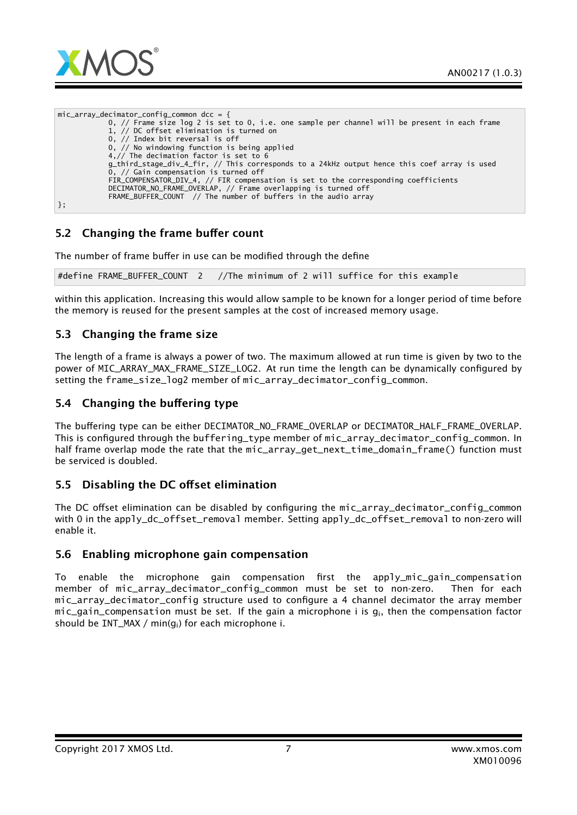

mic array decimator config common dcc =  ${f}$ 0, // Frame size log 2 is set to 0, i.e. one sample per channel will be present in each frame 1, // DC offset elimination is turned on 0, // Index bit reversal is off 0, // No windowing function is being applied 4,// The decimation factor is set to 6 g\_third\_stage\_div\_4\_fir, // This corresponds to a 24kHz output hence this coef array is used 0, // Gain compensation is turned off FIR\_COMPENSATOR\_DIV\_4, // FIR compensation is set to the corresponding coefficients DECIMATOR\_NO\_FRAME\_OVERLAP, // Frame overlapping is turned off FRAME\_BUFFER\_COUNT // The number of buffers in the audio array };

### 5.2 Changing the frame buffer count

The number of frame buffer in use can be modified through the define

#define FRAME\_BUFFER\_COUNT 2 //The minimum of 2 will suffice for this example

within this application. Increasing this would allow sample to be known for a longer period of time before the memory is reused for the present samples at the cost of increased memory usage.

### 5.3 Changing the frame size

The length of a frame is always a power of two. The maximum allowed at run time is given by two to the power of MIC\_ARRAY\_MAX\_FRAME\_SIZE\_LOG2. At run time the length can be dynamically configured by setting the frame\_size\_log2 member of mic\_array\_decimator\_config\_common.

### 5.4 Changing the buffering type

The buffering type can be either DECIMATOR\_NO\_FRAME\_OVERLAP or DECIMATOR\_HALF\_FRAME\_OVERLAP. This is configured through the buffering\_type member of mic\_array\_decimator\_config\_common. In half frame overlap mode the rate that the mic\_array\_get\_next\_time\_domain\_frame() function must be serviced is doubled.

### 5.5 Disabling the DC offset elimination

The DC offset elimination can be disabled by configuring the mic\_array\_decimator\_config\_common with 0 in the apply\_dc\_offset\_removal member. Setting apply\_dc\_offset\_removal to non-zero will enable it.

### 5.6 Enabling microphone gain compensation

To enable the microphone gain compensation first the apply\_mic\_gain\_compensation member of mic\_array\_decimator\_config\_common must be set to non-zero. Then for each mic\_array\_decimator\_config structure used to configure a 4 channel decimator the array member mic gain compensation must be set. If the gain a microphone i is  $q_i$ , then the compensation factor should be INT\_MAX / min(gi) for each microphone i.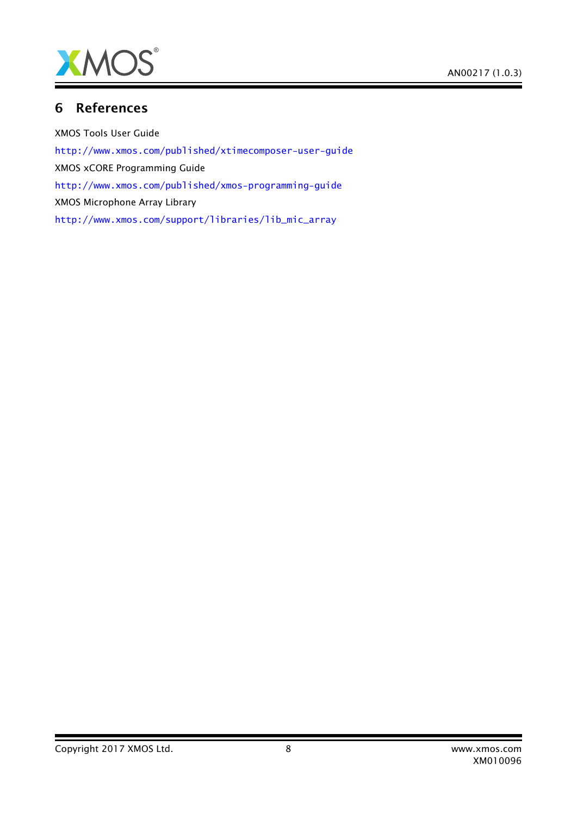

# 6 References

XMOS Tools User Guide <http://www.xmos.com/published/xtimecomposer-user-guide> XMOS xCORE Programming Guide <http://www.xmos.com/published/xmos-programming-guide> XMOS Microphone Array Library [http://www.xmos.com/support/libraries/lib\\_mic\\_array](http://www.xmos.com/support/libraries/lib_mic_array)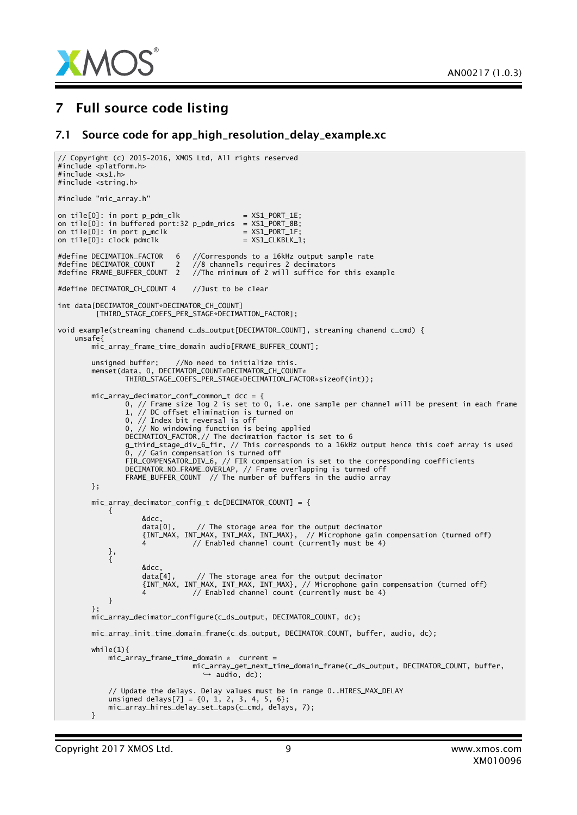

## 7 Full source code listing

#### 7.1 Source code for app\_high\_resolution\_delay\_example.xc

```
// Copyright (c) 2015-2016, XMOS Ltd, All rights reserved
#include <platform.h>
#include <xs1.h>
#include <string.h>
#include "mic_array.h"
on tile[0]: in port p\_pdm\_clk = XS1_PORT_1E;
on tile[0]: in buffered port:32 p_pdm_mics = XS1_PORT_8B;
on tile[0]: in port p_mclk = XSL-PORT_1F;on tile[0]: clock pdmclk = XS1_CLKBLK_1;
#define DECIMATION_FACTOR 6 //Corresponds to a 16kHz output sample rate
#define DECIMATOR_COUNT 2 //8 channels requires 2 decimators
                               \frac{1}{2} //The minimum of 2 will suffice for this example
#define DECIMATOR_CH_COUNT 4 //Just to be clear
int data[DECIMATOR_COUNT*DECIMATOR_CH_COUNT]
         [THIRD_STAGE_COEFS_PER_STAGE*DECIMATION_FACTOR];
void example(streaming chanend c_ds_output[DECIMATOR_COUNT], streaming chanend c_cmd) {
   unsafe{
       mic_array_frame_time_domain audio[FRAME_BUFFER_COUNT];
        unsigned buffer; //No need to initialize this.
        memset(data, 0, DECIMATOR_COUNT*DECIMATOR_CH_COUNT*
                THIRD_STAGE_COEFS_PER_STAGE*DECIMATION_FACTOR*sizeof(int));
       mic_array_decimator_conf_common_t dcc = {
                0, // Frame size log 2 is set to 0, i.e. one sample per channel will be present in each frame
                1, // DC offset elimination is turned on
                0, // Index bit reversal is off
                0, // No windowing function is being applied
               DECIMATION_FACTOR,// The decimation factor is set to 6
                g_third_stage_div_6_fir, // This corresponds to a 16kHz output hence this coef array is used
                0, // Gain compensation is turned off
                FIR_COMPENSATOR_DIV_6, // FIR compensation is set to the corresponding coefficients
                DECIMATOR_NO_FRAME_OVERLAP, // Frame overlapping is turned off
                FRAME_BUFFER_COUNT // The number of buffers in the audio array
       };
       mic_array_decimator_config_t dc[DECIMATOR_COUNT] = {
           {
                   &dcc,<br>data[0],
                                1/ The storage area for the output decimator
                    {INT_MAX, INT_MAX, INT_MAX, INT_MAX}, // Microphone gain compensation (turned off)
                    4 // Enabled channel count (currently must be 4)
           },
            {
                   &dcc,<br>data[4],
                                1/ The storage area for the output decimator
                    {INT_MAX, INT_MAX, INT_MAX, INT_MAX}, // Microphone gain compensation (turned off)
                    4 // Enabled channel count (currently must be 4)
           }
        };
       mic_array_decimator_configure(c_ds_output, DECIMATOR_COUNT, dc);
       mic_array_init_time_domain_frame(c_ds_output, DECIMATOR_COUNT, buffer, audio, dc);
       while(1)mic_array_frame_time_domain * current =
                                mic_array_get_next_time_domain_frame(c_ds_output, DECIMATOR_COUNT, buffer,
,→ audio, dc);
            // Update the delays. Delay values must be in range 0..HIRES_MAX_DELAY
            unsigned delays[7] = \{0, 1, 2, 3, 4, 5, 6\};mic_array_hires_delay_set_taps(c_cmd, delays, 7);
       }
```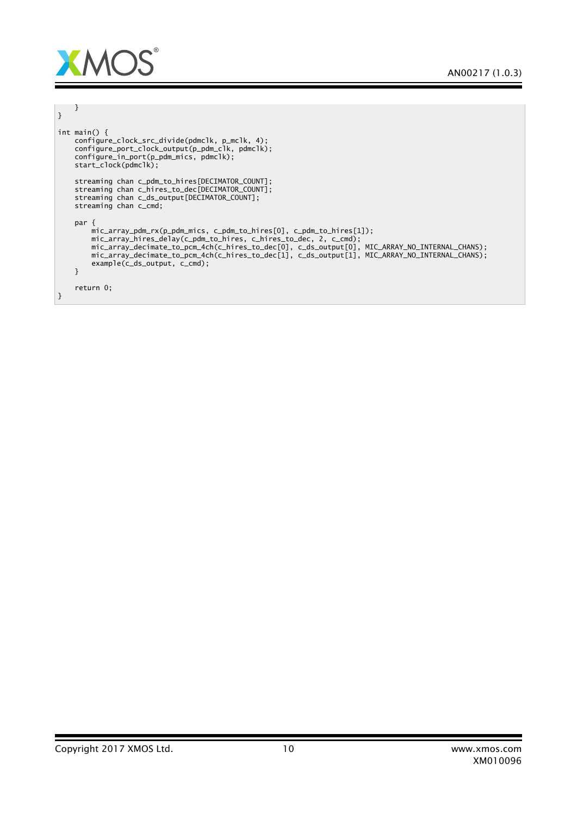

| int main() $\{$<br>configure_clock_src_divide(pdmclk, p_mclk, 4);<br>configure_port_clock_output(p_pdm_clk, pdmclk);<br>configure_in_port(p_pdm_mics, pdmclk);<br>start_clock(pdmclk);                                                                                                                                                                                                           |
|--------------------------------------------------------------------------------------------------------------------------------------------------------------------------------------------------------------------------------------------------------------------------------------------------------------------------------------------------------------------------------------------------|
| streaming chan c_pdm_to_hires[DECIMATOR_COUNT];<br>streaming chan c_hires_to_dec[DECIMATOR_COUNT];<br>streaming chan c_ds_output[DECIMATOR_COUNT];<br>streaming chan c_cmd;                                                                                                                                                                                                                      |
| par $\{$<br>$mic_array\_pdm_rx(p\_pdm_mrics, c\_pdm_to_hires[0], c\_pdm_to_hires[1]);$<br>mic_array_hires_delay(c_pdm_to_hires, c_hires_to_dec, 2, c_cmd);<br>mic_array_decimate_to_pcm_4ch(c_hires_to_dec[0], c_ds_output[0], MIC_ARRAY_NO_INTERNAL_CHANS);<br>mic_array_decimate_to_pcm_4ch(c_hires_to_dec[1], c_ds_output[1], MIC_ARRAY_NO_INTERNAL_CHANS);<br>$example(c_ds_output, c_cmd);$ |
| return 0:                                                                                                                                                                                                                                                                                                                                                                                        |